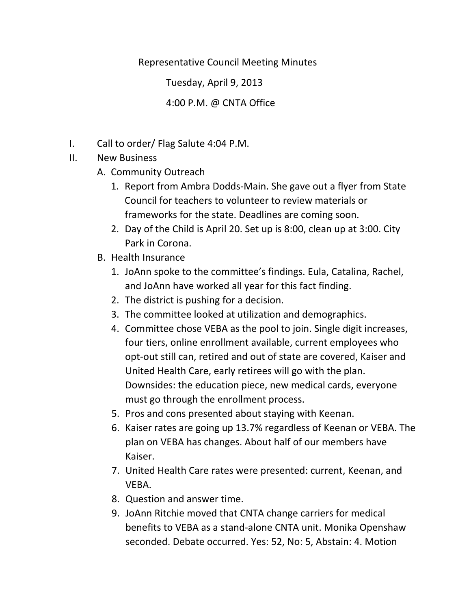Representative Council Meeting Minutes

Tuesday, April 9, 2013

## 4:00 P.M. @ CNTA Office

- I. Call to order/ Flag Salute 4:04 P.M.
- II. New Business
	- A. Community Outreach
		- 1. Report from Ambra Dodds‐Main. She gave out a flyer from State Council for teachers to volunteer to review materials or frameworks for the state. Deadlines are coming soon.
		- 2. Day of the Child is April 20. Set up is 8:00, clean up at 3:00. City Park in Corona.
	- B. Health Insurance
		- 1. JoAnn spoke to the committee's findings. Eula, Catalina, Rachel, and JoAnn have worked all year for this fact finding.
		- 2. The district is pushing for a decision.
		- 3. The committee looked at utilization and demographics.
		- 4. Committee chose VEBA as the pool to join. Single digit increases, four tiers, online enrollment available, current employees who opt‐out still can, retired and out of state are covered, Kaiser and United Health Care, early retirees will go with the plan. Downsides: the education piece, new medical cards, everyone must go through the enrollment process.
		- 5. Pros and cons presented about staying with Keenan.
		- 6. Kaiser rates are going up 13.7% regardless of Keenan or VEBA. The plan on VEBA has changes. About half of our members have Kaiser.
		- 7. United Health Care rates were presented: current, Keenan, and VEBA.
		- 8. Question and answer time.
		- 9. JoAnn Ritchie moved that CNTA change carriers for medical benefits to VEBA as a stand‐alone CNTA unit. Monika Openshaw seconded. Debate occurred. Yes: 52, No: 5, Abstain: 4. Motion